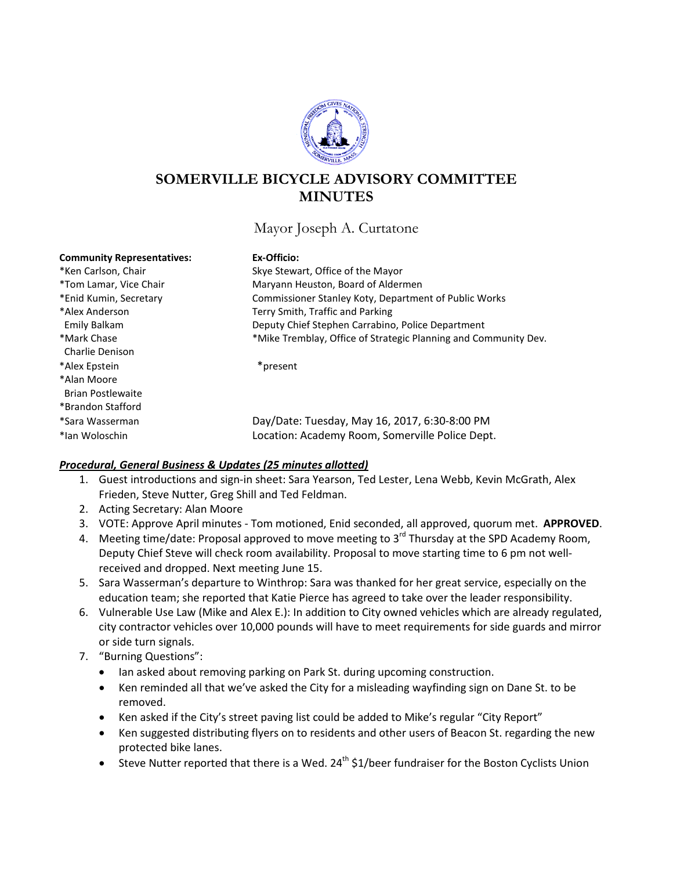

# **SOMERVILLE BICYCLE ADVISORY COMMITTEE MINUTES**

Mayor Joseph A. Curtatone

# **Community Representatives: Ex-Officio:** \*Ken Carlson, Chair The Skye Stewart, Office of the Mayor \*Tom Lamar, Vice Chair **Maryann Heuston, Board of Aldermen** \*Enid Kumin, Secretary Commissioner Stanley Koty, Department of Public Works \*Alex Anderson Terry Smith, Traffic and Parking Emily Balkam Deputy Chief Stephen Carrabino, Police Department \*Mark Chase \*Mike Tremblay, Office of Strategic Planning and Community Dev. Charlie Denison \*Alex Epstein \*present \*Alan Moore Brian Postlewaite \*Brandon Stafford \*Sara Wasserman Day/Date: Tuesday, May 16, 2017, 6:30-8:00 PM \*Ian Woloschin Location: Academy Room, Somerville Police Dept.

## *Procedural, General Business & Updates (25 minutes allotted)*

- 1. Guest introductions and sign-in sheet: Sara Yearson, Ted Lester, Lena Webb, Kevin McGrath, Alex Frieden, Steve Nutter, Greg Shill and Ted Feldman.
- 2. Acting Secretary: Alan Moore
- 3. VOTE: Approve April minutes Tom motioned, Enid seconded, all approved, quorum met. **APPROVED**.
- 4. Meeting time/date: Proposal approved to move meeting to 3<sup>rd</sup> Thursday at the SPD Academy Room, Deputy Chief Steve will check room availability. Proposal to move starting time to 6 pm not wellreceived and dropped. Next meeting June 15.
- 5. Sara Wasserman's departure to Winthrop: Sara was thanked for her great service, especially on the education team; she reported that Katie Pierce has agreed to take over the leader responsibility.
- 6. Vulnerable Use Law (Mike and Alex E.): In addition to City owned vehicles which are already regulated, city contractor vehicles over 10,000 pounds will have to meet requirements for side guards and mirror or side turn signals.
- 7. "Burning Questions":
	- Ian asked about removing parking on Park St. during upcoming construction.
	- Ken reminded all that we've asked the City for a misleading wayfinding sign on Dane St. to be removed.
	- Ken asked if the City's street paving list could be added to Mike's regular "City Report"
	- Ken suggested distributing flyers on to residents and other users of Beacon St. regarding the new protected bike lanes.
	- Steve Nutter reported that there is a Wed.  $24^{th}$  \$1/beer fundraiser for the Boston Cyclists Union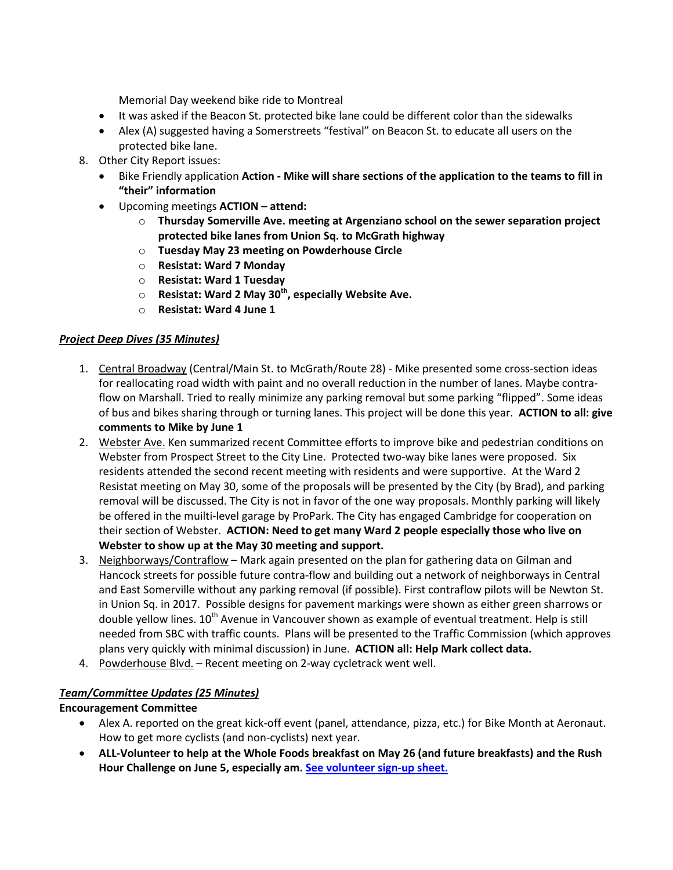Memorial Day weekend bike ride to Montreal

- It was asked if the Beacon St. protected bike lane could be different color than the sidewalks
- Alex (A) suggested having a Somerstreets "festival" on Beacon St. to educate all users on the protected bike lane.
- 8. Other City Report issues:
	- Bike Friendly application **Action - Mike will share sections of the application to the teams to fill in "their" information**
	- Upcoming meetings **ACTION – attend:**
		- o **Thursday Somerville Ave. meeting at Argenziano school on the sewer separation project protected bike lanes from Union Sq. to McGrath highway**
		- o **Tuesday May 23 meeting on Powderhouse Circle**
		- o **Resistat: Ward 7 Monday**
		- o **Resistat: Ward 1 Tuesday**
		- o **Resistat: Ward 2 May 30th, especially Website Ave.**
		- o **Resistat: Ward 4 June 1**

# *Project Deep Dives (35 Minutes)*

- 1. Central Broadway (Central/Main St. to McGrath/Route 28) Mike presented some cross-section ideas for reallocating road width with paint and no overall reduction in the number of lanes. Maybe contraflow on Marshall. Tried to really minimize any parking removal but some parking "flipped". Some ideas of bus and bikes sharing through or turning lanes. This project will be done this year. **ACTION to all: give comments to Mike by June 1**
- 2. Webster Ave. Ken summarized recent Committee efforts to improve bike and pedestrian conditions on Webster from Prospect Street to the City Line. Protected two-way bike lanes were proposed. Six residents attended the second recent meeting with residents and were supportive. At the Ward 2 Resistat meeting on May 30, some of the proposals will be presented by the City (by Brad), and parking removal will be discussed. The City is not in favor of the one way proposals. Monthly parking will likely be offered in the muilti-level garage by ProPark. The City has engaged Cambridge for cooperation on their section of Webster. **ACTION: Need to get many Ward 2 people especially those who live on Webster to show up at the May 30 meeting and support.**
- 3. Neighborways/Contraflow Mark again presented on the plan for gathering data on Gilman and Hancock streets for possible future contra-flow and building out a network of neighborways in Central and East Somerville without any parking removal (if possible). First contraflow pilots will be Newton St. in Union Sq. in 2017. Possible designs for pavement markings were shown as either green sharrows or double yellow lines. 10<sup>th</sup> Avenue in Vancouver shown as example of eventual treatment. Help is still needed from SBC with traffic counts. Plans will be presented to the Traffic Commission (which approves plans very quickly with minimal discussion) in June. **ACTION all: Help Mark collect data.**
- 4. Powderhouse Blvd. Recent meeting on 2-way cycletrack went well.

## *Team/Committee Updates (25 Minutes)*

## **Encouragement Committee**

- Alex A. reported on the great kick-off event (panel, attendance, pizza, etc.) for Bike Month at Aeronaut. How to get more cyclists (and non-cyclists) next year.
- **ALL-Volunteer to help at the Whole Foods breakfast on May 26 (and future breakfasts) and the Rush Hour Challenge on June 5, especially am. [See volunteer sign-up sheet.](https://docs.google.com/spreadsheets/d/1KGhn9sGxNRHpUkqhpV08UVmdJOkYHNEi1VV-3VAOpjk/edit#gid=0)**